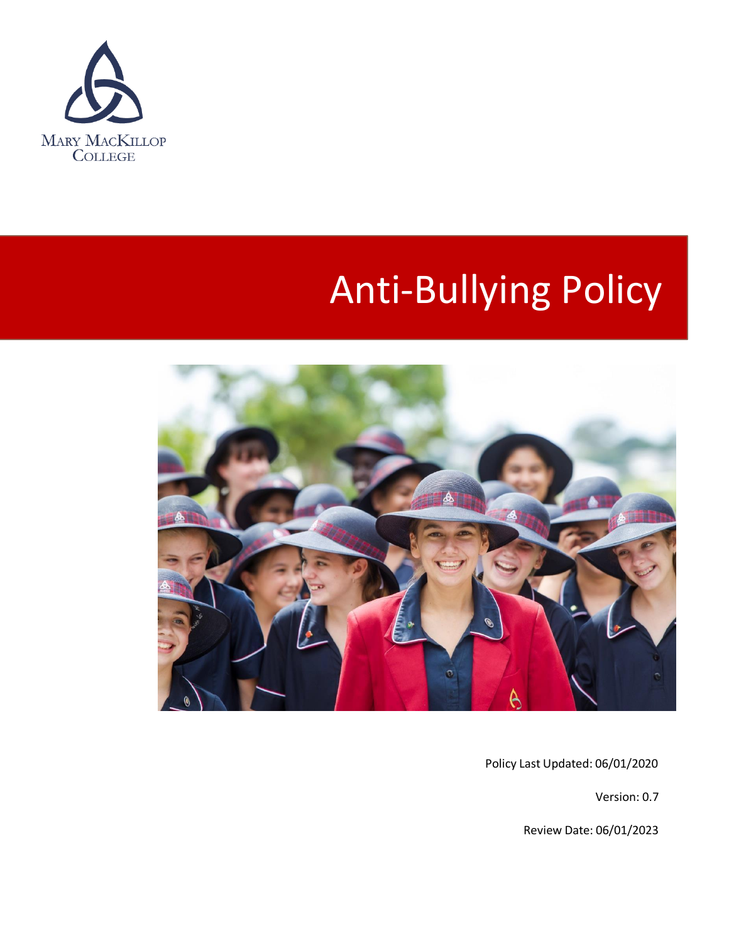

# Anti-Bullying Policy



Policy Last Updated: 06/01/2020

Version: 0.7

Review Date: 06/01/2023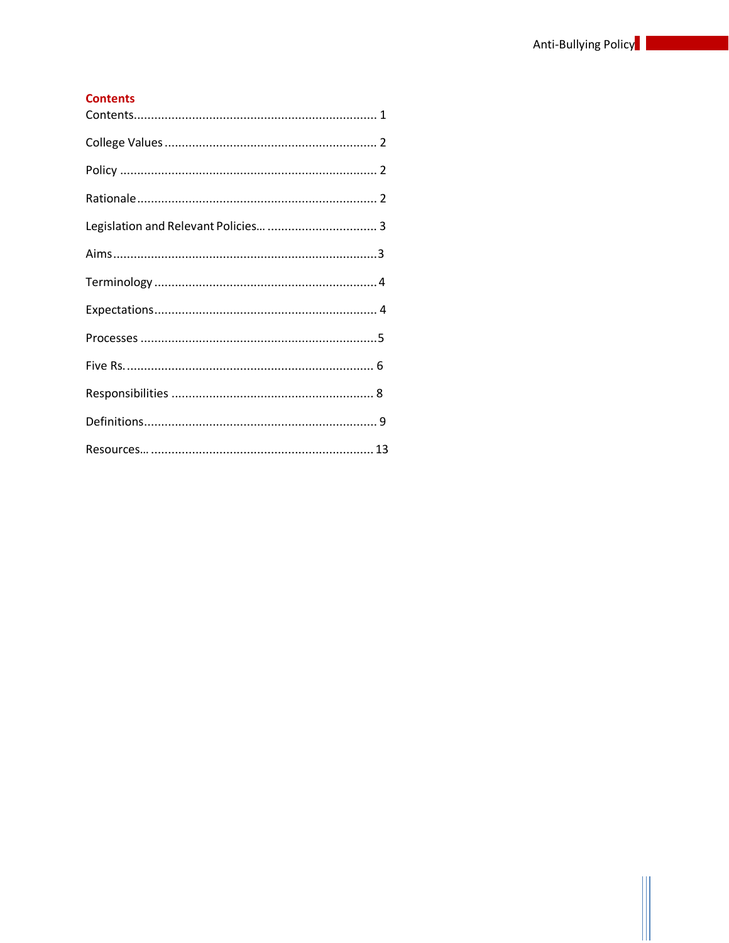## <span id="page-1-0"></span>**Contents**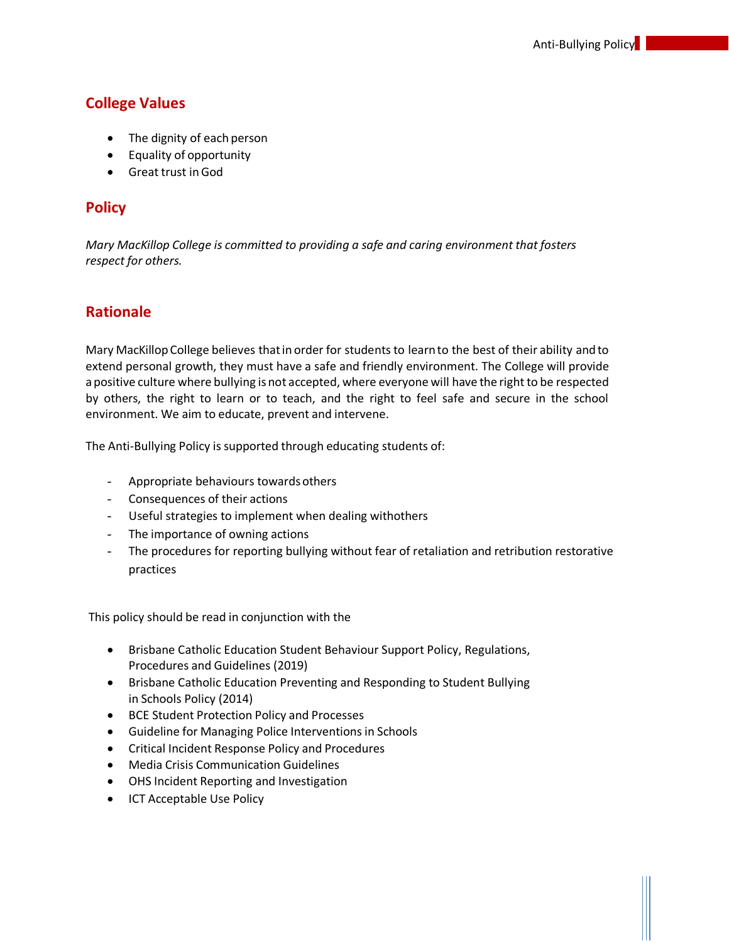# <span id="page-2-0"></span>**College Values**

- The dignity of each person
- Equality of opportunity
- Great trust inGod

## <span id="page-2-1"></span>**Policy**

<span id="page-2-2"></span>*Mary MacKillop College is committed to providing a safe and caring environment that fosters respect for others.*

## **Rationale**

Mary MacKillop College believes that in order for students to learn to the best of their ability and to extend personal growth, they must have a safe and friendly environment. The College will provide a positive culture where bullying is not accepted, where everyone will have the right to be respected by others, the right to learn or to teach, and the right to feel safe and secure in the school environment. We aim to educate, prevent and intervene.

The Anti-Bullying Policy is supported through educating students of:

- Appropriate behaviours towards others
- Consequences of their actions
- Useful strategies to implement when dealing withothers
- The importance of owning actions
- The procedures for reporting bullying without fear of retaliation and retribution restorative practices

This policy should be read in conjunction with the

- Brisbane Catholic Education Student Behaviour Support Policy, Regulations, Procedures and Guidelines (2019)
- Brisbane Catholic Education Preventing and Responding to Student Bullying in Schools Policy (2014)
- BCE Student Protection Policy and Processes
- Guideline for Managing Police Interventions in Schools
- Critical Incident Response Policy and Procedures
- Media Crisis Communication Guidelines
- OHS Incident Reporting and Investigation
- ICT Acceptable Use Policy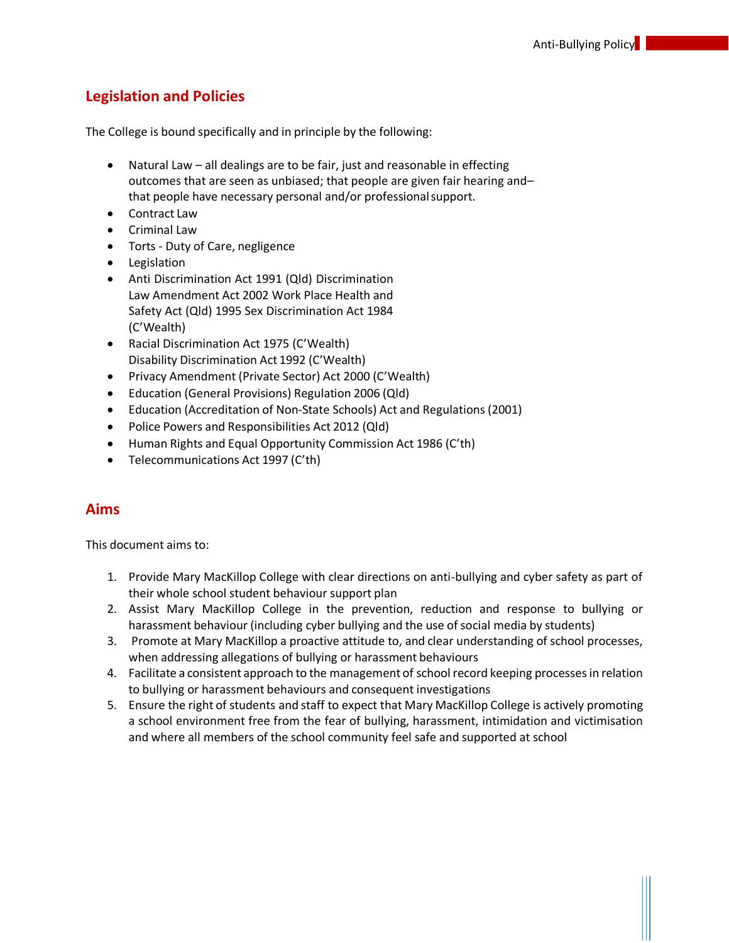# **Legislation and Policies**

The College is bound specifically and in principle by the following:

- Natural Law all dealings are to be fair, just and reasonable in effecting outcomes that are seen as unbiased; that people are given fair hearing and– that people have necessary personal and/or professionalsupport.
- Contract Law
- Criminal Law
- Torts Duty of Care, negligence
- Legislation
- Anti Discrimination Act 1991 (Qld) Discrimination Law Amendment Act 2002 Work Place Health and Safety Act (Qld) 1995 Sex Discrimination Act 1984 (C'Wealth)
- Racial Discrimination Act 1975 (C'Wealth) Disability Discrimination Act 1992 (C'Wealth)
- Privacy Amendment (Private Sector) Act 2000 (C'Wealth)
- Education (General Provisions) Regulation 2006 (Qld)
- Education (Accreditation of Non-State Schools) Act and Regulations (2001)
- Police Powers and Responsibilities Act 2012 (Qld)
- Human Rights and Equal Opportunity Commission Act 1986 (C'th)
- Telecommunications Act 1997 (C'th)

# <span id="page-3-0"></span>**Aims**

This document aims to:

- 1. Provide Mary MacKillop College with clear directions on anti-bullying and cyber safety as part of their whole school student behaviour support plan
- 2. Assist Mary MacKillop College in the prevention, reduction and response to bullying or harassment behaviour (including cyber bullying and the use of social media by students)
- 3. Promote at Mary MacKillop a proactive attitude to, and clear understanding of school processes, when addressing allegations of bullying or harassment behaviours
- 4. Facilitate a consistent approach to the management of school record keeping processesin relation to bullying or harassment behaviours and consequent investigations
- 5. Ensure the right of students and staff to expect that Mary MacKillop College is actively promoting a school environment free from the fear of bullying, harassment, intimidation and victimisation and where all members of the school community feel safe and supported at school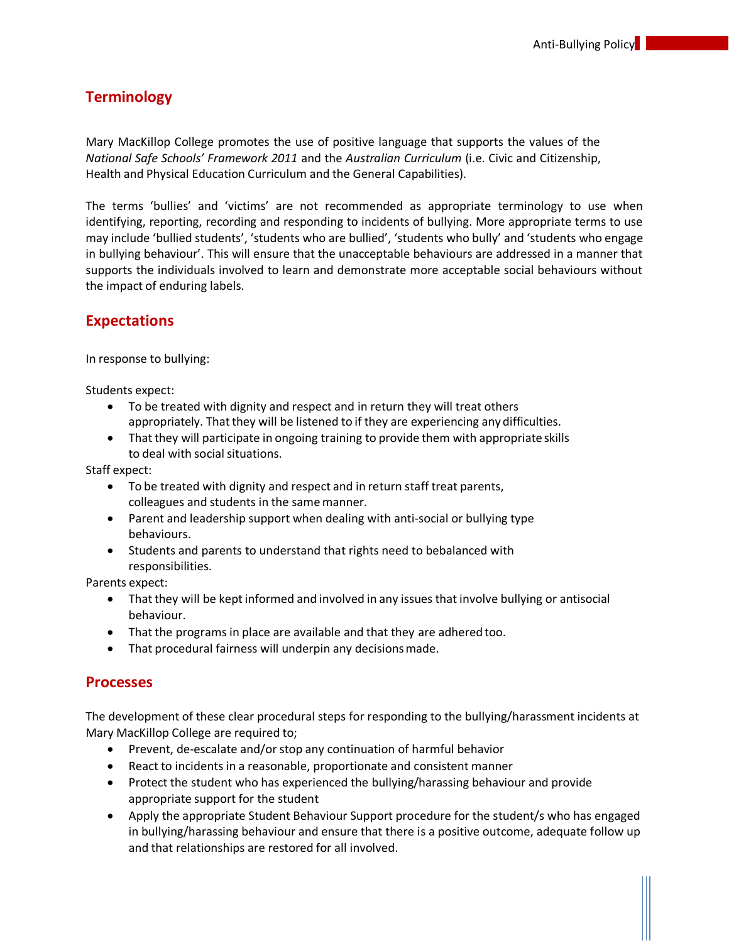# <span id="page-4-0"></span>**Terminology**

Mary MacKillop College promotes the use of positive language that supports the values of the *National Safe Schools' Framework 2011* and the *Australian Curriculum* (i.e. Civic and Citizenship, Health and Physical Education Curriculum and the General Capabilities).

The terms 'bullies' and 'victims' are not recommended as appropriate terminology to use when identifying, reporting, recording and responding to incidents of bullying. More appropriate terms to use may include 'bullied students', 'students who are bullied', 'students who bully' and 'students who engage in bullying behaviour'. This will ensure that the unacceptable behaviours are addressed in a manner that supports the individuals involved to learn and demonstrate more acceptable social behaviours without the impact of enduring labels.

## **Expectations**

In response to bullying:

Students expect:

- To be treated with dignity and respect and in return they will treat others appropriately. That they will be listened to if they are experiencing any difficulties.
- Thatthey will participate in ongoing training to provide them with appropriate skills to deal with social situations.

Staff expect:

- To be treated with dignity and respect and in return staff treat parents, colleagues and students in the same manner.
- Parent and leadership support when dealing with anti-social or bullying type behaviours.
- Students and parents to understand that rights need to bebalanced with responsibilities.

Parents expect:

- That they will be kept informed and involved in any issues that involve bullying or antisocial behaviour.
- That the programs in place are available and that they are adhered too.
- That procedural fairness will underpin any decisionsmade.

## **Processes**

The development of these clear procedural steps for responding to the bullying/harassment incidents at Mary MacKillop College are required to;

- Prevent, de-escalate and/or stop any continuation of harmful behavior
- React to incidents in a reasonable, proportionate and consistent manner
- Protect the student who has experienced the bullying/harassing behaviour and provide appropriate support for the student
- Apply the appropriate Student Behaviour Support procedure for the student/s who has engaged in bullying/harassing behaviour and ensure that there is a positive outcome, adequate follow up and that relationships are restored for all involved.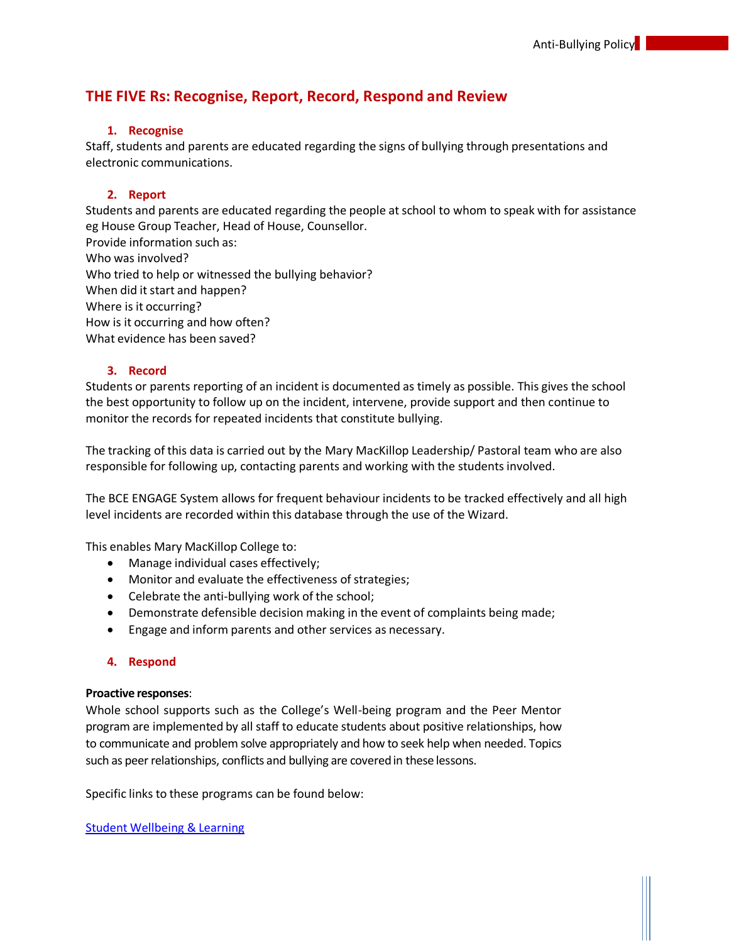# **THE FIVE Rs: Recognise, Report, Record, Respond and Review**

#### **1. Recognise**

Staff, students and parents are educated regarding the signs of bullying through presentations and electronic communications.

#### **2. Report**

Students and parents are educated regarding the people atschool to whom to speak with for assistance eg House Group Teacher, Head of House, Counsellor. Provide information such as:

Who was involved? Who tried to help or witnessed the bullying behavior? When did it start and happen? Where is it occurring? How is it occurring and how often? What evidence has been saved?

#### **3. Record**

Students or parents reporting of an incident is documented as timely as possible. This gives the school the best opportunity to follow up on the incident, intervene, provide support and then continue to monitor the records for repeated incidents that constitute bullying.

The tracking of this data is carried out by the Mary MacKillop Leadership/ Pastoral team who are also responsible for following up, contacting parents and working with the students involved.

The BCE ENGAGE System allows for frequent behaviour incidents to be tracked effectively and all high level incidents are recorded within this database through the use of the Wizard.

This enables Mary MacKillop College to:

- Manage individual cases effectively;
- Monitor and evaluate the effectiveness of strategies;
- Celebrate the anti-bullying work of the school;
- Demonstrate defensible decision making in the event of complaints being made;
- Engage and inform parents and other services as necessary.

#### **4. Respond**

#### **Proactive responses**:

Whole school supports such as the College's Well-being program and the Peer Mentor program are implemented by all staff to educate students about positive relationships, how to communicate and problem solve appropriately and how to seek help when needed. Topics such as peer relationships, conflicts and bullying are covered in these lessons.

Specific links to these programs can be found below:

Student Wellbeing & Learning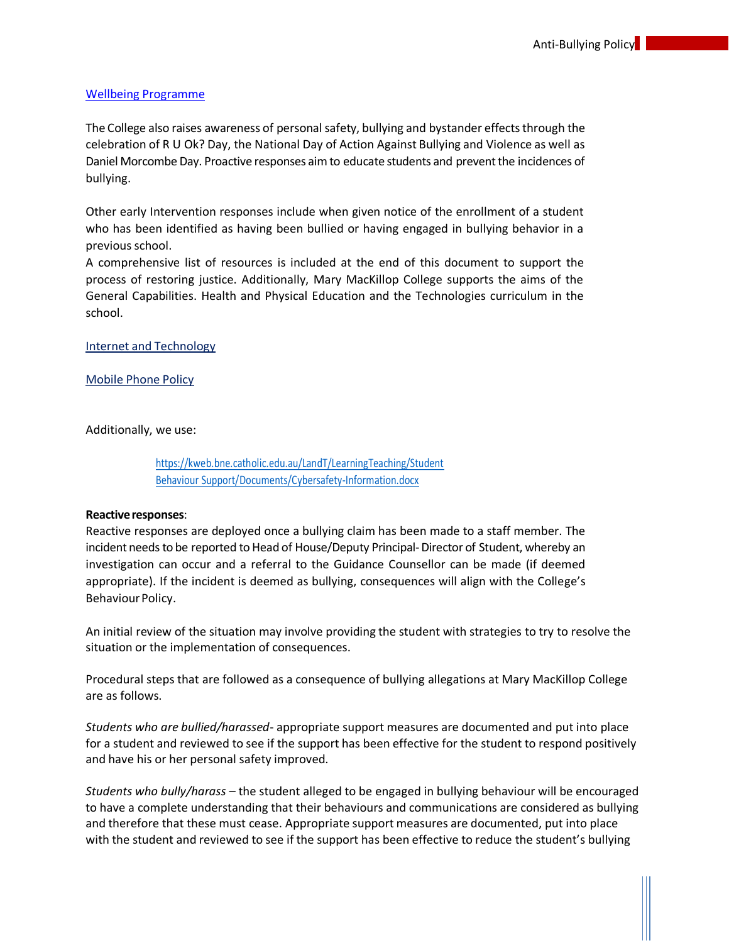#### Wellbeing Programme

The College also raises awareness of personal safety, bullying and bystander effects through the celebration of R U Ok? Day, the National Day of Action Against Bullying and Violence as well as Daniel Morcombe Day. Proactive responses aim to educate students and prevent the incidences of bullying.

Other early Intervention responses include when given notice of the enrollment of a student who has been identified as having been bullied or having engaged in bullying behavior in a previous school.

A comprehensive list of resources is included at the end of this document to support the process of restoring justice. Additionally, Mary MacKillop College supports the aims of the General Capabilities. Health and Physical Education and the Technologies curriculum in the school.

Internet and [Technology](https://mybcecatholicedu.sharepoint.com/sites/sp-mmc/staff/Forms/Forms/AllItems.aspx?id=%2Fsites%2Fsp%2Dmmc%2Fstaff%2FForms%2FStaff%20Handbook%2FAll%20Staff%2FClassroom%20Procedures%20and%20Student%20Management%2FInternet%20and%20Technology%20Use%2Edocx&parent=%2Fsites%2Fsp%2Dmmc%2Fstaff%2FForms%2FStaff%20Handbook%2FAll%20Staff%2FClassroom%20Procedures%20and%20Student%20Management)

Mobile Phone Policy

Additionally, we use:

https://kweb.bne.catholic.edu.au/LandT/LearningTeaching/Student Behaviour Support/Documents/Cybersafety-Information.docx

#### **Reactive responses:**

Reactive responses are deployed once a bullying claim has been made to a staff member. The incident needs to be reported to Head of House/Deputy Principal-Director of Student, whereby an investigation can occur and a referral to the Guidance Counsellor can be made (if deemed appropriate). If the incident is deemed as bullying, consequences will align with the College's Behaviour Policy.

An initial review of the situation may involve providing the student with strategies to try to resolve the situation or the implementation of consequences.

Procedural steps that are followed as a consequence of bullying allegations at Mary MacKillop College are as follows.

*Students who are bullied/harassed*- appropriate support measures are documented and put into place for a student and reviewed to see if the support has been effective for the student to respond positively and have his or her personal safety improved.

*Students who bully/harass* – the student alleged to be engaged in bullying behaviour will be encouraged to have a complete understanding that their behaviours and communications are considered as bullying and therefore that these must cease. Appropriate support measures are documented, put into place with the student and reviewed to see if the support has been effective to reduce the student's bullying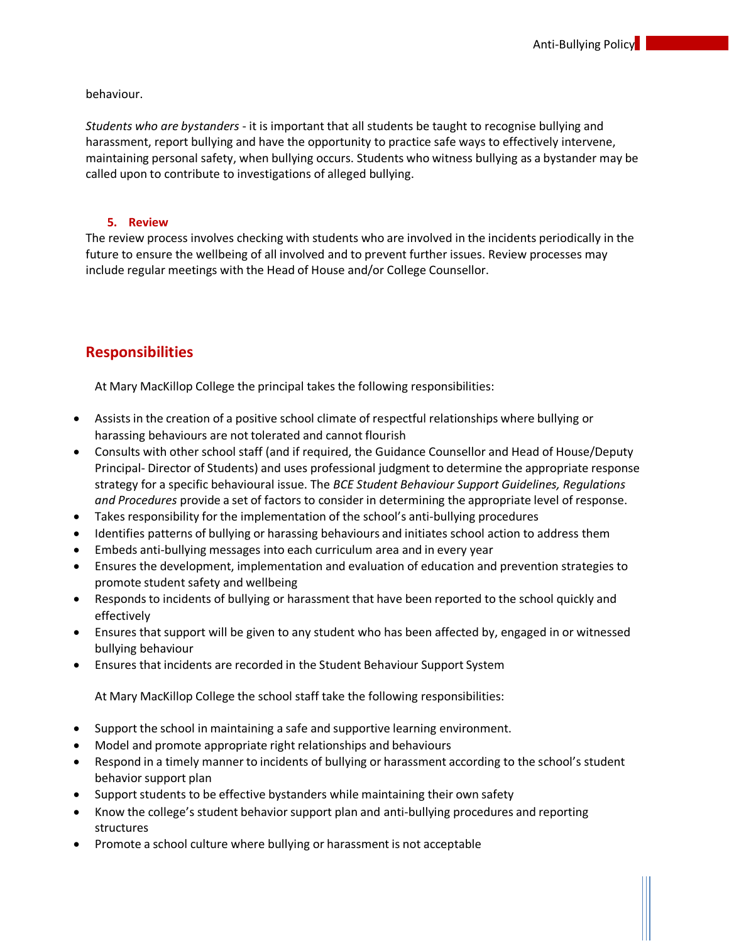behaviour.

*Students who are bystanders* - it is important that all students be taught to recognise bullying and harassment, report bullying and have the opportunity to practice safe ways to effectively intervene, maintaining personal safety, when bullying occurs. Students who witness bullying as a bystander may be called upon to contribute to investigations of alleged bullying.

#### **5. Review**

The review process involves checking with students who are involved in the incidents periodically in the future to ensure the wellbeing of all involved and to prevent further issues. Review processes may include regular meetings with the Head of House and/or College Counsellor.

# <span id="page-7-0"></span>**Responsibilities**

At Mary MacKillop College the principal takes the following responsibilities:

- Assists in the creation of a positive school climate of respectful relationships where bullying or harassing behaviours are not tolerated and cannot flourish
- Consults with other school staff (and if required, the Guidance Counsellor and Head of House/Deputy Principal- Director of Students) and uses professional judgment to determine the appropriate response strategy for a specific behavioural issue. The *BCE Student Behaviour Support Guidelines, Regulations and Procedures* provide a set of factors to consider in determining the appropriate level of response.
- Takes responsibility for the implementation of the school's anti-bullying procedures
- Identifies patterns of bullying or harassing behaviours and initiates school action to address them
- Embeds anti-bullying messages into each curriculum area and in every year
- Ensures the development, implementation and evaluation of education and prevention strategies to promote student safety and wellbeing
- Responds to incidents of bullying or harassment that have been reported to the school quickly and effectively
- Ensures that support will be given to any student who has been affected by, engaged in or witnessed bullying behaviour
- Ensures that incidents are recorded in the Student Behaviour Support System

At Mary MacKillop College the school staff take the following responsibilities:

- Support the school in maintaining a safe and supportive learning environment.
- Model and promote appropriate right relationships and behaviours
- Respond in a timely manner to incidents of bullying or harassment according to the school's student behavior support plan
- Support students to be effective bystanders while maintaining their own safety
- Know the college's student behavior support plan and anti-bullying procedures and reporting structures
- Promote a school culture where bullying or harassment is not acceptable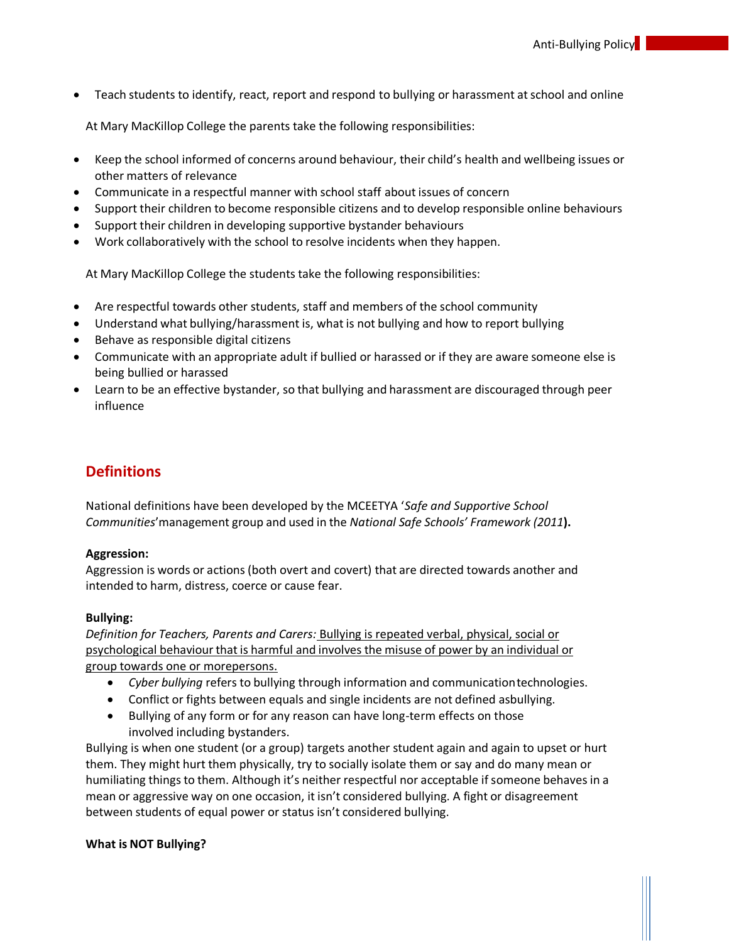• Teach students to identify, react, report and respond to bullying or harassment at school and online

At Mary MacKillop College the parents take the following responsibilities:

- Keep the school informed of concerns around behaviour, their child's health and wellbeing issues or other matters of relevance
- Communicate in a respectful manner with school staff about issues of concern
- Support their children to become responsible citizens and to develop responsible online behaviours
- Support their children in developing supportive bystander behaviours
- Work collaboratively with the school to resolve incidents when they happen.

At Mary MacKillop College the students take the following responsibilities:

- Are respectful towards other students, staff and members of the school community
- Understand what bullying/harassment is, what is not bullying and how to report bullying
- Behave as responsible digital citizens
- Communicate with an appropriate adult if bullied or harassed or if they are aware someone else is being bullied or harassed
- Learn to be an effective bystander, so that bullying and harassment are discouraged through peer influence

# **Definitions**

National definitions have been developed by the MCEETYA '*Safe and Supportive School Communities*'management group and used in the *National Safe Schools' Framework (2011***).**

#### **Aggression:**

Aggression is words or actions (both overt and covert) that are directed towards another and intended to harm, distress, coerce or cause fear.

#### **Bullying:**

*Definition for Teachers, Parents and Carers:* Bullying is repeated verbal, physical, social or psychological behaviour that is harmful and involves the misuse of power by an individual or group towards one or morepersons.

- *Cyber bullying* refers to bullying through information and communicationtechnologies.
- Conflict or fights between equals and single incidents are not defined asbullying.
- Bullying of any form or for any reason can have long-term effects on those involved including bystanders.

Bullying is when one student (or a group) targets another student again and again to upset or hurt them. They might hurt them physically, try to socially isolate them or say and do many mean or humiliating things to them. Although it's neither respectful nor acceptable if someone behaves in a mean or aggressive way on one occasion, it isn't considered bullying. A fight or disagreement between students of equal power or status isn't considered bullying.

#### **What is NOT Bullying?**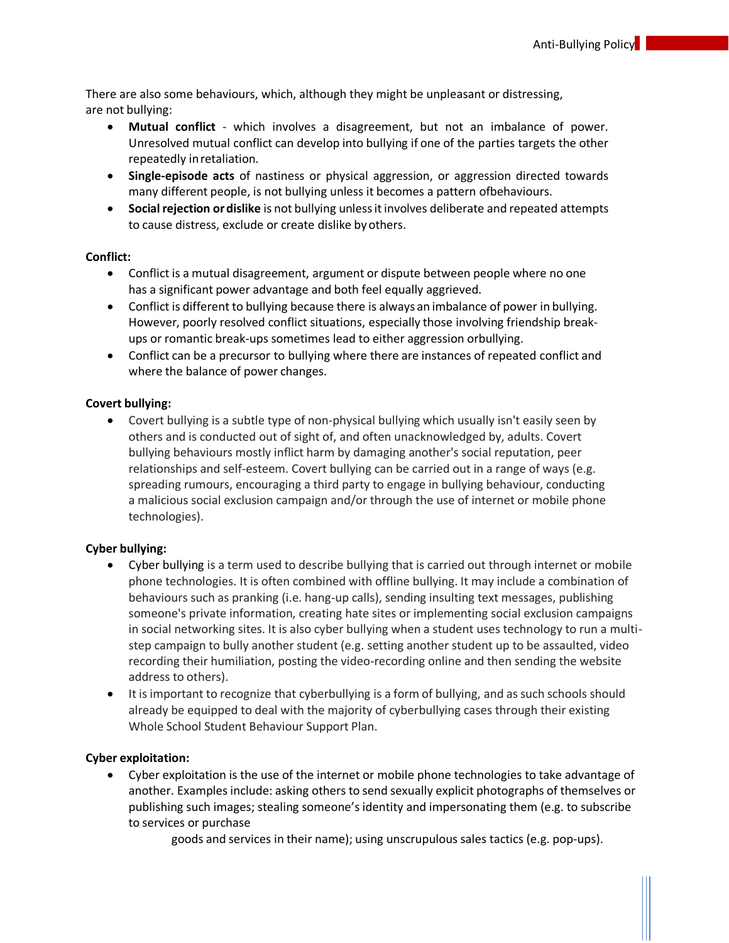There are also some behaviours, which, although they might be unpleasant or distressing, are not bullying:

- **Mutual conflict** which involves a disagreement, but not an imbalance of power. Unresolved mutual conflict can develop into bullying if one of the parties targets the other repeatedly inretaliation.
- **Single-episode acts** of nastiness or physical aggression, or aggression directed towards many different people, is not bullying unless it becomes a pattern ofbehaviours.
- **Social rejection or dislike** is not bullying unless it involves deliberate and repeated attempts to cause distress, exclude or create dislike by others.

#### **Conflict:**

- Conflict is a mutual disagreement, argument or dispute between people where no one has a significant power advantage and both feel equally aggrieved.
- Conflict is different to bullying because there is always an imbalance of power in bullying. However, poorly resolved conflict situations, especially those involving friendship breakups or romantic break-ups sometimes lead to either aggression orbullying.
- Conflict can be a precursor to bullying where there are instances of repeated conflict and where the balance of power changes.

#### **Covert bullying:**

• Covert bullying is a subtle type of non-physical bullying which usually isn't easily seen by others and is conducted out of sight of, and often unacknowledged by, adults. Covert bullying behaviours mostly inflict harm by damaging another's social reputation, peer relationships and self-esteem. Covert bullying can be carried out in a range of ways (e.g. spreading rumours, encouraging a third party to engage in bullying behaviour, conducting a malicious social exclusion campaign and/or through the use of internet or mobile phone technologies).

#### **Cyber bullying:**

- Cyber bullying is a term used to describe bullying that is carried out through internet or mobile phone technologies. It is often combined with offline bullying. It may include a combination of behaviours such as pranking (i.e. hang-up calls), sending insulting text messages, publishing someone's private information, creating hate sites or implementing social exclusion campaigns in social networking sites. It is also cyber bullying when a student uses technology to run a multistep campaign to bully another student (e.g. setting another student up to be assaulted, video recording their humiliation, posting the video-recording online and then sending the website address to others).
- It is important to recognize that cyberbullying is a form of bullying, and as such schools should already be equipped to deal with the majority of cyberbullying cases through their existing Whole School Student Behaviour Support Plan.

#### **Cyber exploitation:**

• Cyber exploitation is the use of the internet or mobile phone technologies to take advantage of another. Examples include: asking others to send sexually explicit photographs of themselves or publishing such images; stealing someone's identity and impersonating them (e.g. to subscribe to services or purchase

goods and services in their name); using unscrupulous sales tactics (e.g. pop-ups).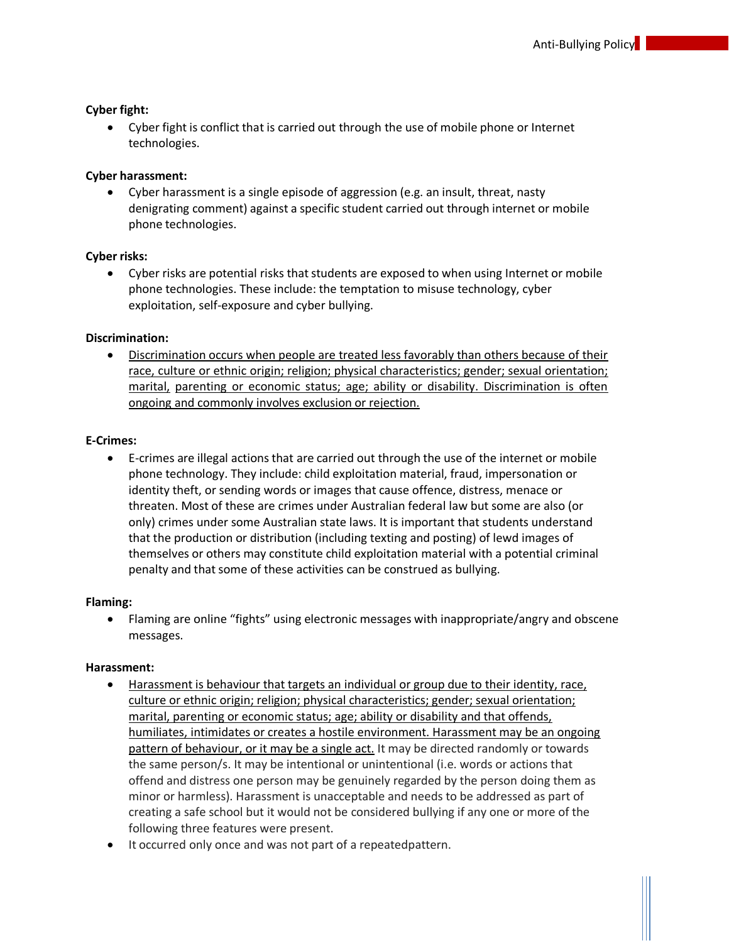#### **Cyber fight:**

• Cyber fight is conflict that is carried out through the use of mobile phone or Internet technologies.

#### **Cyber harassment:**

• Cyber harassment is a single episode of aggression (e.g. an insult, threat, nasty denigrating comment) against a specific student carried out through internet or mobile phone technologies.

#### **Cyber risks:**

• Cyber risks are potential risks that students are exposed to when using Internet or mobile phone technologies. These include: the temptation to misuse technology, cyber exploitation, self-exposure and cyber bullying.

#### **Discrimination:**

• Discrimination occurs when people are treated less favorably than others because of their race, culture or ethnic origin; religion; physical characteristics; gender; sexual orientation; marital, parenting or economic status; age; ability or disability. Discrimination is often ongoing and commonly involves exclusion or rejection.

#### **E-Crimes:**

• E-crimes are illegal actions that are carried out through the use of the internet or mobile phone technology. They include: child exploitation material, fraud, impersonation or identity theft, or sending words or images that cause offence, distress, menace or threaten. Most of these are crimes under Australian federal law but some are also (or only) crimes under some Australian state laws. It is important that students understand that the production or distribution (including texting and posting) of lewd images of themselves or others may constitute child exploitation material with a potential criminal penalty and that some of these activities can be construed as bullying.

#### **Flaming:**

• Flaming are online "fights" using electronic messages with inappropriate/angry and obscene messages.

#### **Harassment:**

- Harassment is behaviour that targets an individual or group due to their identity, race, culture or ethnic origin; religion; physical characteristics; gender; sexual orientation; marital, parenting or economic status; age; ability or disability and that offends, humiliates, intimidates or creates a hostile environment. Harassment may be an ongoing pattern of behaviour, or it may be a single act. It may be directed randomly or towards the same person/s. It may be intentional or unintentional (i.e. words or actions that offend and distress one person may be genuinely regarded by the person doing them as minor or harmless). Harassment is unacceptable and needs to be addressed as part of creating a safe school but it would not be considered bullying if any one or more of the following three features were present.
- It occurred only once and was not part of a repeatedpattern.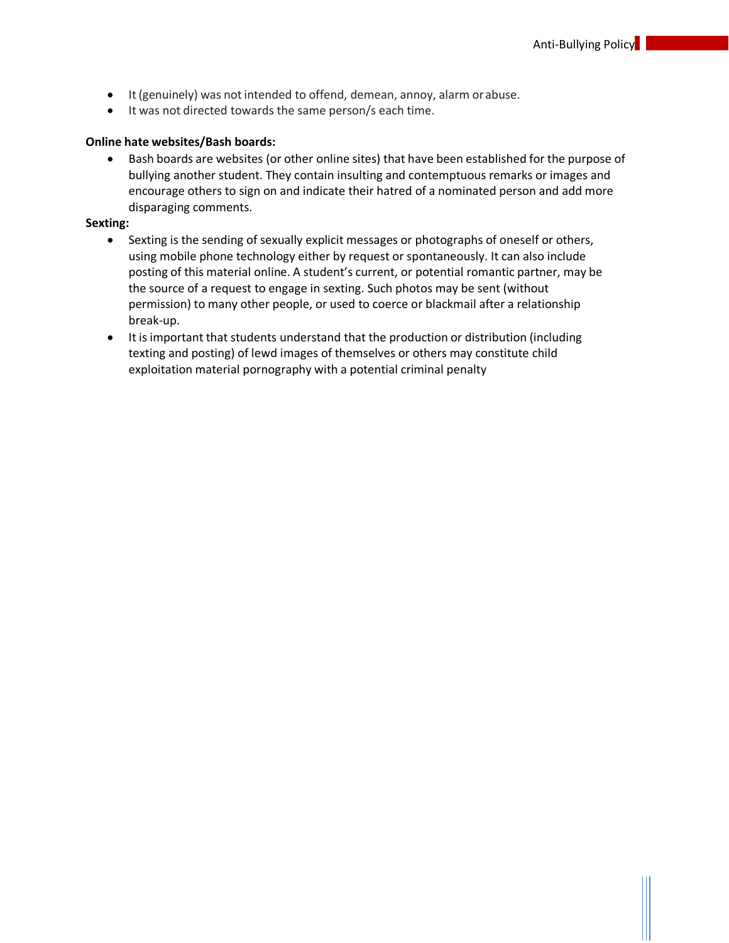- It (genuinely) was not intended to offend, demean, annoy, alarm orabuse.
- It was not directed towards the same person/s each time.

#### **Online hate websites/Bash boards:**

<span id="page-11-0"></span>• Bash boards are websites (or other online sites) that have been established for the purpose of bullying another student. They contain insulting and contemptuous remarks or images and encourage others to sign on and indicate their hatred of a nominated person and add more disparaging comments.

#### **Sexting:**

- Sexting is the sending of sexually explicit messages or photographs of oneself or others, using mobile phone technology either by request or spontaneously. It can also include posting of this material online. A student's current, or potential romantic partner, may be the source of a request to engage in sexting. Such photos may be sent (without permission) to many other people, or used to coerce or blackmail after a relationship break-up.
- It is important that students understand that the production or distribution (including texting and posting) of lewd images of themselves or others may constitute child exploitation material pornography with a potential criminal penalty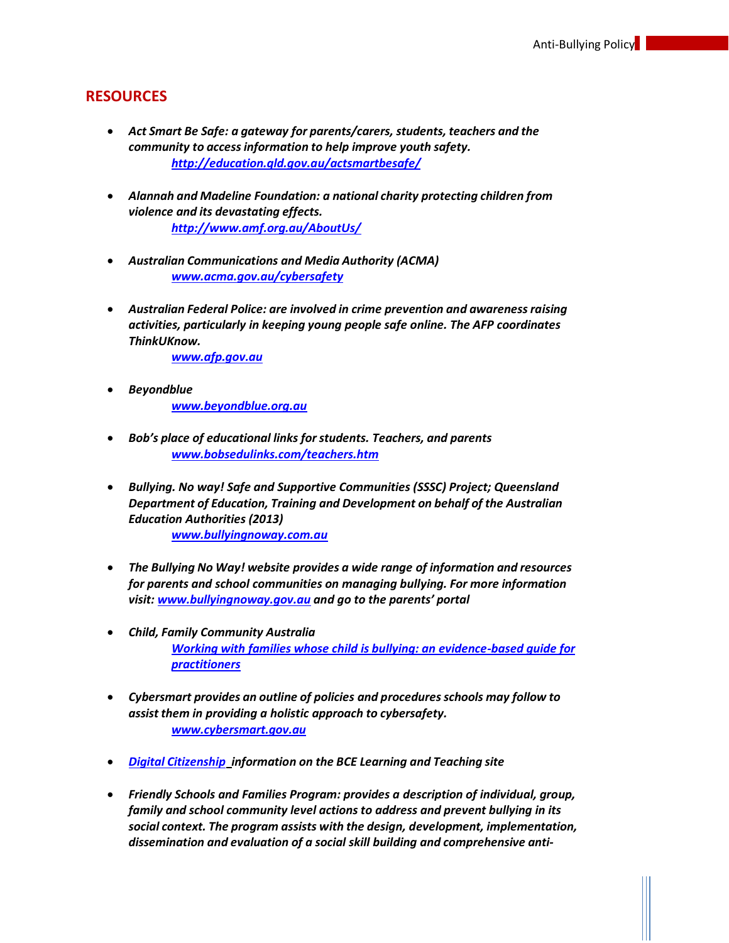## <span id="page-12-0"></span>**RESOURCES**

- *Act Smart Be Safe: a gateway for parents/carers, students, teachers and the community to accessinformation to help improve youth safety. <http://education.qld.gov.au/actsmartbesafe/>*
- *Alannah and Madeline Foundation: a national charity protecting children from violence and its devastating effects. <http://www.amf.org.au/AboutUs/>*
- *Australian Communications and Media Authority (ACMA) [www.acma.gov.au/cybersafety](http://www.acma.gov.au/cybersafety)*
- *Australian Federal Police: are involved in crime prevention and awarenessraising activities, particularly in keeping young people safe online. The AFP coordinates ThinkUKnow.*
	- *[www.afp.gov.au](http://www.afp.gov.au/)*
- *Beyondblue [www.beyondblue.org.au](http://www.beyondblue.org.au/)*
- *Bob's place of educational links forstudents. Teachers, and parents [www.bobsedulinks.com/teachers.htm](http://www.bobsedulinks.com/teachers.htm)*
- *Bullying. No way! Safe and Supportive Communities (SSSC) Project; Queensland Department of Education, Training and Development on behalf of the Australian Education Authorities (2013) [www.bullyingnoway.com.au](http://www.bullyingnoway.com.au/)*
- *The Bullying No Way! website provides a wide range of information and resources for parents and school communities on managing bullying. For more information visit: [www.bullyingnoway.gov.au](http://www.bullyingnoway.gov.au/) and go to the parents' portal*
- *Child, Family Community Australia [Working with families whose child is bullying: an evidence-based guide for](http://www.aifs.gov.au/cfca/pubs/factsheets/a147442/index.html) [practitioners](http://www.aifs.gov.au/cfca/pubs/factsheets/a147442/index.html)*
- *Cybersmart provides an outline of policies and procedures schools may follow to assist them in providing a holistic approach to cybersafety. [www.cybersmart.gov.au](http://www.cybersmart.gov.au/)*
- *Digital [Citizenship](https://kweb.bne.catholic.edu.au/LandT/Curriculum/GeneralCapabilities/ICT%20Capability/Pages/Digital-Citizenship.aspx) information on the BCE Learning and Teaching site*
- *Friendly Schools and Families Program: provides a description of individual, group, family and school community level actions to address and prevent bullying in its social context. The program assists with the design, development, implementation, dissemination and evaluation of a social skill building and comprehensive anti-*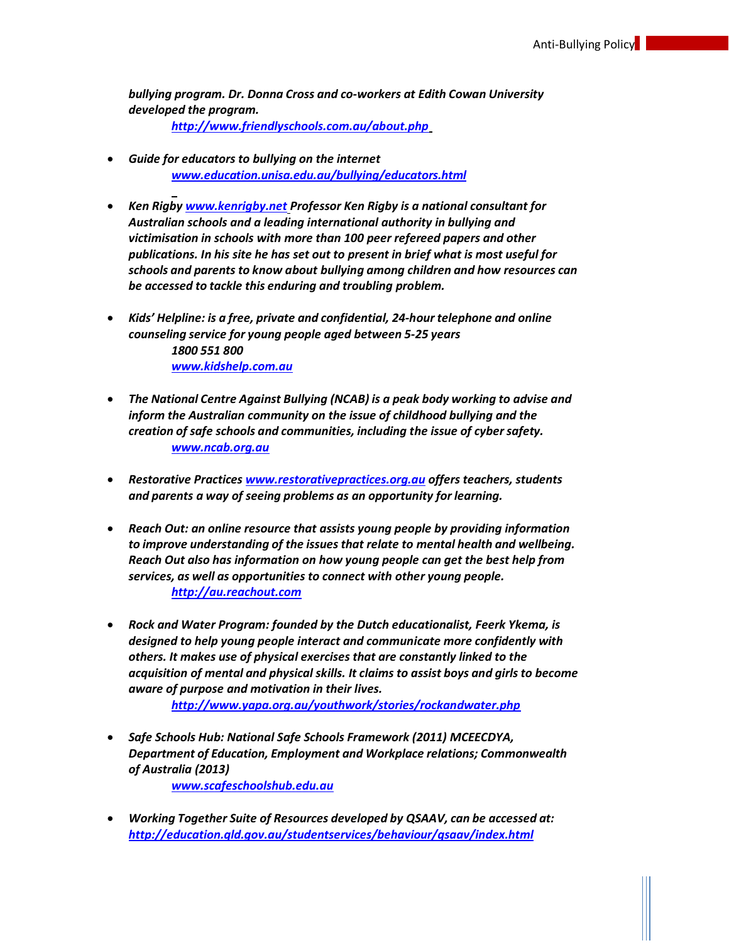*bullying program. Dr. Donna Cross and co-workers at Edith Cowan University developed the program.*

*<http://www.friendlyschools.com.au/about.php>*

- *Guide for educators to bullying on the internet [www.education.unisa.edu.au/bullying/educators.html](http://www.education.unisa.edu.au/bullying/educators.html)*
- *Ken Rigby [www.kenrigby.net](http://www.kenrigby.net/) Professor Ken Rigby is a national consultant for Australian schools and a leading international authority in bullying and victimisation in schools with more than 100 peer refereed papers and other publications. In his site he has set out to present in brief what is most useful for schools and parents to know about bullying among children and how resources can be accessed to tackle this enduring and troubling problem.*
- *Kids' Helpline: is a free, private and confidential, 24-hour telephone and online counseling service for young people aged between 5-25 years 1800 551 800 [www.kidshelp.com.au](http://www.kidshelp.com.au/)*
- *The National Centre Against Bullying (NCAB) is a peak body working to advise and inform the Australian community on the issue of childhood bullying and the creation of safe schools and communities, including the issue of cybersafety. [www.ncab.org.au](http://www.ncab.org.au/)*
- *Restorative Practices [www.restorativepractices.org.au](http://www.restorativepractices.org.au/) offers teachers, students and parents a way of seeing problems as an opportunity for learning.*
- *Reach Out: an online resource that assists young people by providing information to improve understanding of the issuesthat relate to mental health and wellbeing. Reach Out also has information on how young people can get the best help from services, as well as opportunities to connect with other young people. [http://au.reachout.com](http://au.reachout.com/)*
- *Rock and Water Program: founded by the Dutch educationalist, Feerk Ykema, is designed to help young people interact and communicate more confidently with others. It makes use of physical exercises that are constantly linked to the acquisition of mental and physical skills. It claims to assist boys and girlsto become aware of purpose and motivation in their lives.*

*<http://www.yapa.org.au/youthwork/stories/rockandwater.php>*

• *Safe Schools Hub: National Safe Schools Framework (2011) MCEECDYA, Department of Education, Employment and Workplace relations; Commonwealth of Australia (2013)*

*[www.scafeschoolshub.edu.au](http://www.scafeschoolshub.edu.au/)*

• *Working Together Suite of Resources developed by QSAAV, can be accessed at: <http://education.qld.gov.au/studentservices/behaviour/qsaav/index.html>*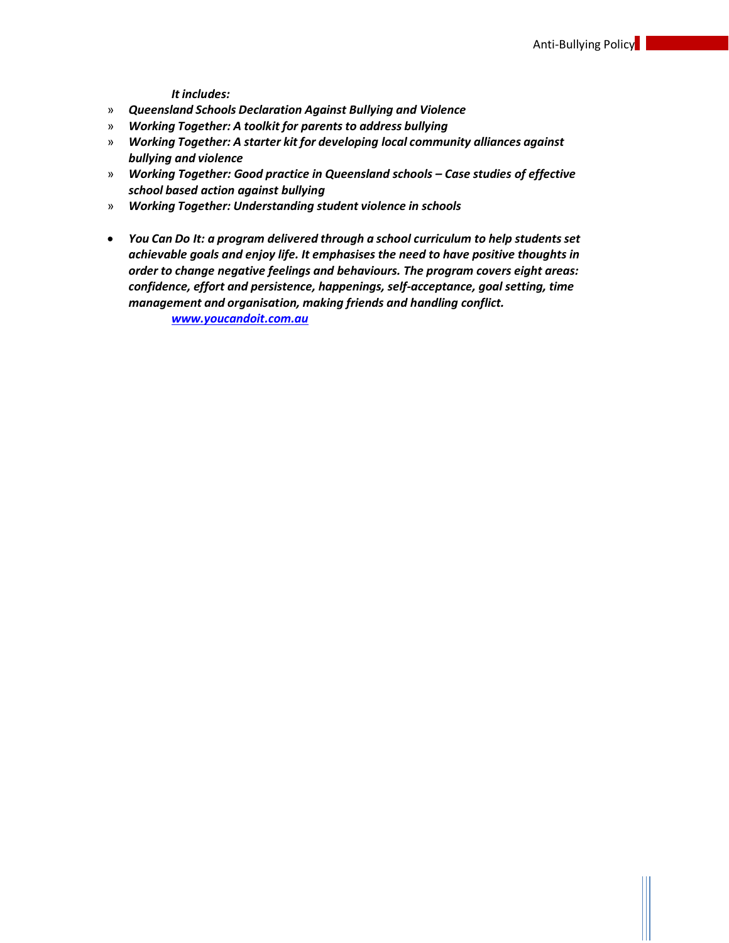*It includes:*

- » *Queensland Schools Declaration Against Bullying and Violence*
- » *Working Together: A toolkit for parents to address bullying*
- » *Working Together: A starter kit for developing local community alliances against bullying and violence*
- » *Working Together: Good practice in Queensland schools – Case studies of effective school based action against bullying*
- » *Working Together: Understanding student violence in schools*
- *You Can Do It: a program delivered through a school curriculum to help studentsset achievable goals and enjoy life. It emphasises the need to have positive thoughts in order to change negative feelings and behaviours. The program covers eight areas: confidence, effort and persistence, happenings, self-acceptance, goal setting, time management and organisation, making friends and handling conflict.*

<span id="page-14-0"></span>*[www.youcandoit.com.au](http://www.youcandoit.com.au/)*